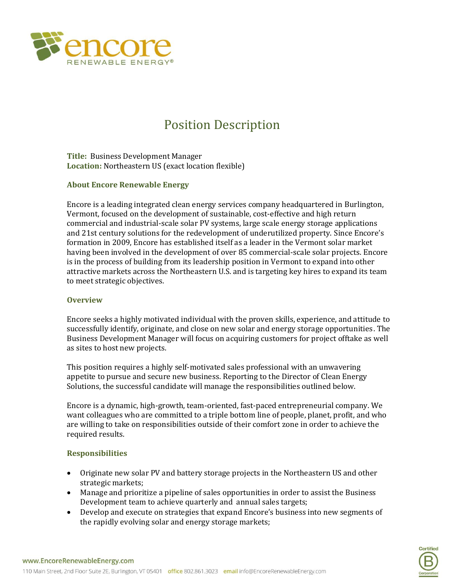

# Position Description

**Title:** Business Development Manager **Location:** Northeastern US (exact location flexible)

### **About Encore Renewable Energy**

Encore is a leading integrated clean energy services company headquartered in Burlington, Vermont, focused on the development of sustainable, cost-effective and high return commercial and industrial-scale solar PV systems, large scale energy storage applications and 21st century solutions for the redevelopment of underutilized property. Since Encore's formation in 2009, Encore has established itself as a leader in the Vermont solar market having been involved in the development of over 85 commercial-scale solar projects. Encore is in the process of building from its leadership position in Vermont to expand into other attractive markets across the Northeastern U.S. and is targeting key hires to expand its team to meet strategic objectives.

### **Overview**

Encore seeks a highly motivated individual with the proven skills, experience, and attitude to successfully identify, originate, and close on new solar and energy storage opportunities. The Business Development Manager will focus on acquiring customers for project offtake as well as sites to host new projects.

This position requires a highly self-motivated sales professional with an unwavering appetite to pursue and secure new business. Reporting to the Director of Clean Energy Solutions, the successful candidate will manage the responsibilities outlined below.

Encore is a dynamic, high-growth, team-oriented, fast-paced entrepreneurial company. We want colleagues who are committed to a triple bottom line of people, planet, profit, and who are willing to take on responsibilities outside of their comfort zone in order to achieve the required results.

## **Responsibilities**

- Originate new solar PV and battery storage projects in the Northeastern US and other strategic markets;
- Manage and prioritize a pipeline of sales opportunities in order to assist the Business Development team to achieve quarterly and annual sales targets;
- Develop and execute on strategies that expand Encore's business into new segments of the rapidly evolving solar and energy storage markets;

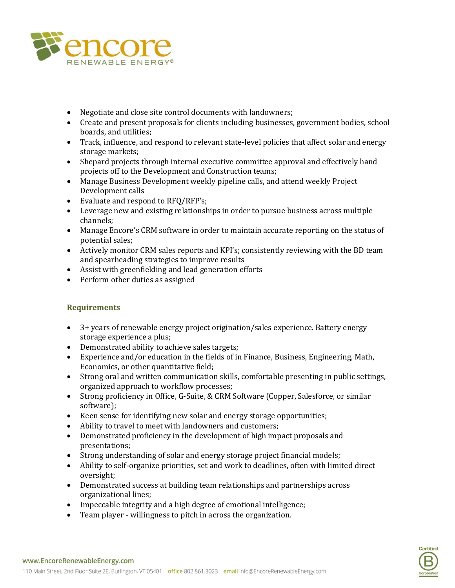

- Negotiate and close site control documents with landowners;
- Create and present proposals for clients including businesses, government bodies, school boards, and utilities;
- Track, influence, and respond to relevant state-level policies that affect solar and energy storage markets;
- Shepard projects through internal executive committee approval and effectively hand projects off to the Development and Construction teams;
- Manage Business Development weekly pipeline calls, and attend weekly Project Development calls
- Evaluate and respond to RFO/RFP's:
- Leverage new and existing relationships in order to pursue business across multiple channels;
- Manage Encore's CRM software in order to maintain accurate reporting on the status of potential sales;
- Actively monitor CRM sales reports and KPI's; consistently reviewing with the BD team and spearheading strategies to improve results
- Assist with greenfielding and lead generation efforts
- Perform other duties as assigned

## **Requirements**

- 3+ years of renewable energy project origination/sales experience. Battery energy storage experience a plus;
- Demonstrated ability to achieve sales targets;
- Experience and/or education in the fields of in Finance, Business, Engineering, Math, Economics, or other quantitative field;
- Strong oral and written communication skills, comfortable presenting in public settings, organized approach to workflow processes;
- Strong proficiency in Office, G-Suite, & CRM Software (Copper, Salesforce, or similar software);
- Keen sense for identifying new solar and energy storage opportunities;
- Ability to travel to meet with landowners and customers;
- Demonstrated proficiency in the development of high impact proposals and presentations;
- Strong understanding of solar and energy storage project financial models;
- Ability to self-organize priorities, set and work to deadlines, often with limited direct oversight;
- Demonstrated success at building team relationships and partnerships across organizational lines;
- Impeccable integrity and a high degree of emotional intelligence;
- Team player willingness to pitch in across the organization.